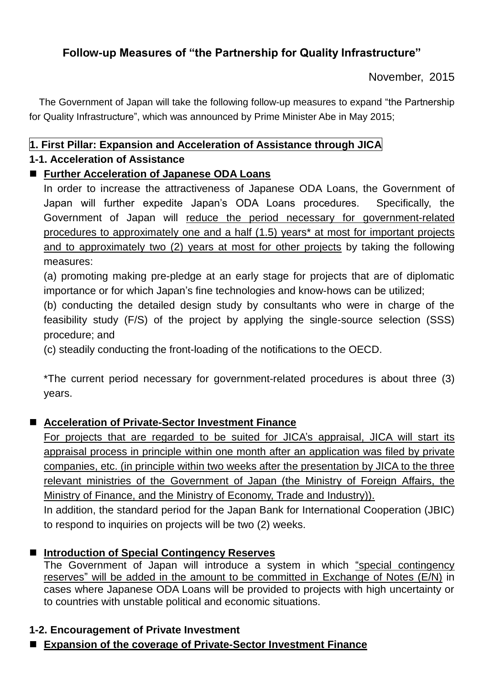## **Follow-up Measures of "the Partnership for Quality Infrastructure"**

November, 2015

The Government of Japan will take the following follow-up measures to expand "the Partnership for Quality Infrastructure", which was announced by Prime Minister Abe in May 2015;

## **1. First Pillar: Expansion and Acceleration of Assistance through JICA**

### **1-1. Acceleration of Assistance**

## **Further Acceleration of Japanese ODA Loans**

In order to increase the attractiveness of Japanese ODA Loans, the Government of Japan will further expedite Japan's ODA Loans procedures. Specifically, the Government of Japan will reduce the period necessary for government-related procedures to approximately one and a half (1.5) years\* at most for important projects and to approximately two (2) years at most for other projects by taking the following measures:

(a) promoting making pre-pledge at an early stage for projects that are of diplomatic importance or for which Japan's fine technologies and know-hows can be utilized;

(b) conducting the detailed design study by consultants who were in charge of the feasibility study (F/S) of the project by applying the single-source selection (SSS) procedure; and

(c) steadily conducting the front-loading of the notifications to the OECD.

\*The current period necessary for government-related procedures is about three (3) years.

## ■ Acceleration of Private-Sector Investment Finance

For projects that are regarded to be suited for JICA's appraisal, JICA will start its appraisal process in principle within one month after an application was filed by private companies, etc. (in principle within two weeks after the presentation by JICA to the three relevant ministries of the Government of Japan (the Ministry of Foreign Affairs, the Ministry of Finance, and the Ministry of Economy, Trade and Industry)).

In addition, the standard period for the Japan Bank for International Cooperation (JBIC) to respond to inquiries on projects will be two (2) weeks.

### ■ Introduction of Special Contingency Reserves

The Government of Japan will introduce a system in which "special contingency reserves" will be added in the amount to be committed in Exchange of Notes (E/N) in cases where Japanese ODA Loans will be provided to projects with high uncertainty or to countries with unstable political and economic situations.

### **1-2. Encouragement of Private Investment**

**Expansion of the coverage of Private-Sector Investment Finance**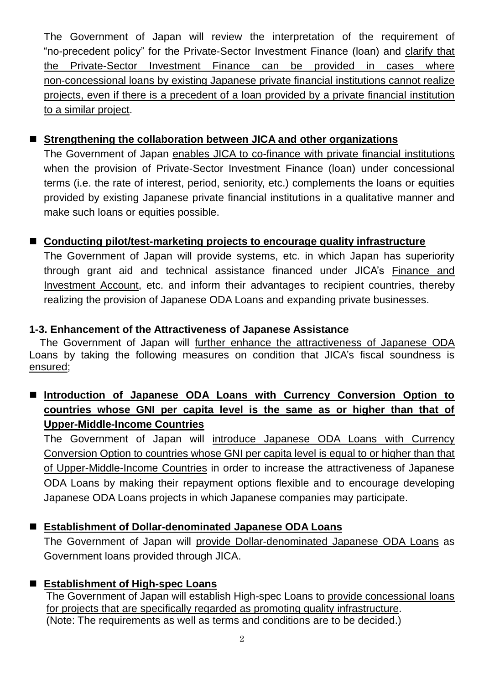The Government of Japan will review the interpretation of the requirement of "no-precedent policy" for the Private-Sector Investment Finance (loan) and clarify that the Private-Sector Investment Finance can be provided in cases where non-concessional loans by existing Japanese private financial institutions cannot realize projects, even if there is a precedent of a loan provided by a private financial institution to a similar project.

### ■ Strengthening the collaboration between JICA and other organizations

The Government of Japan enables JICA to co-finance with private financial institutions when the provision of Private-Sector Investment Finance (loan) under concessional terms (i.e. the rate of interest, period, seniority, etc.) complements the loans or equities provided by existing Japanese private financial institutions in a qualitative manner and make such loans or equities possible.

### **Conducting pilot/test-marketing projects to encourage quality infrastructure**

The Government of Japan will provide systems, etc. in which Japan has superiority through grant aid and technical assistance financed under JICA's Finance and Investment Account, etc. and inform their advantages to recipient countries, thereby realizing the provision of Japanese ODA Loans and expanding private businesses.

#### **1-3. Enhancement of the Attractiveness of Japanese Assistance**

The Government of Japan will further enhance the attractiveness of Japanese ODA Loans by taking the following measures on condition that JICA's fiscal soundness is ensured;

## **Introduction of Japanese ODA Loans with Currency Conversion Option to countries whose GNI per capita level is the same as or higher than that of Upper-Middle-Income Countries**

The Government of Japan will introduce Japanese ODA Loans with Currency Conversion Option to countries whose GNI per capita level is equal to or higher than that of Upper-Middle-Income Countries in order to increase the attractiveness of Japanese ODA Loans by making their repayment options flexible and to encourage developing Japanese ODA Loans projects in which Japanese companies may participate.

### **Establishment of Dollar-denominated Japanese ODA Loans**

The Government of Japan will provide Dollar-denominated Japanese ODA Loans as Government loans provided through JICA.

### **Establishment of High-spec Loans**

The Government of Japan will establish High-spec Loans to provide concessional loans for projects that are specifically regarded as promoting quality infrastructure. (Note: The requirements as well as terms and conditions are to be decided.)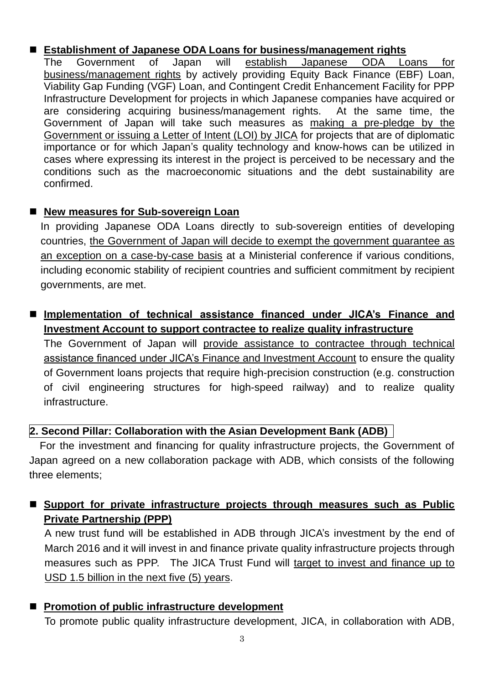#### **Establishment of Japanese ODA Loans for business/management rights**

The Government of Japan will establish Japanese ODA Loans for business/management rights by actively providing Equity Back Finance (EBF) Loan, Viability Gap Funding (VGF) Loan, and Contingent Credit Enhancement Facility for PPP Infrastructure Development for projects in which Japanese companies have acquired or are considering acquiring business/management rights. At the same time, the Government of Japan will take such measures as making a pre-pledge by the Government or issuing a Letter of Intent (LOI) by JICA for projects that are of diplomatic importance or for which Japan's quality technology and know-hows can be utilized in cases where expressing its interest in the project is perceived to be necessary and the conditions such as the macroeconomic situations and the debt sustainability are confirmed.

#### ■ New measures for Sub-sovereign Loan

In providing Japanese ODA Loans directly to sub-sovereign entities of developing countries, the Government of Japan will decide to exempt the government guarantee as an exception on a case-by-case basis at a Ministerial conference if various conditions, including economic stability of recipient countries and sufficient commitment by recipient governments, are met.

### ■ Implementation of technical assistance financed under JICA's Finance and **Investment Account to support contractee to realize quality infrastructure**

The Government of Japan will provide assistance to contractee through technical assistance financed under JICA's Finance and Investment Account to ensure the quality of Government loans projects that require high-precision construction (e.g. construction of civil engineering structures for high-speed railway) and to realize quality infrastructure.

### **2. Second Pillar: Collaboration with the Asian Development Bank (ADB)**

For the investment and financing for quality infrastructure projects, the Government of Japan agreed on a new collaboration package with ADB, which consists of the following three elements;

## **Support for private infrastructure projects through measures such as Public Private Partnership (PPP)**

A new trust fund will be established in ADB through JICA's investment by the end of March 2016 and it will invest in and finance private quality infrastructure projects through measures such as PPP. The JICA Trust Fund will target to invest and finance up to USD 1.5 billion in the next five (5) years.

#### **Promotion of public infrastructure development**

To promote public quality infrastructure development, JICA, in collaboration with ADB,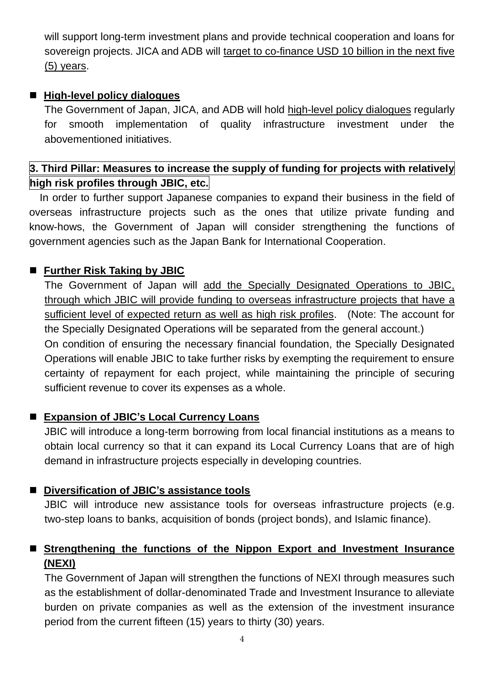will support long-term investment plans and provide technical cooperation and loans for sovereign projects. JICA and ADB will target to co-finance USD 10 billion in the next five (5) years.

#### **High-level policy dialogues**

The Government of Japan, JICA, and ADB will hold high-level policy dialogues regularly for smooth implementation of quality infrastructure investment under the abovementioned initiatives.

## **3. Third Pillar: Measures to increase the supply of funding for projects with relatively high risk profiles through JBIC, etc.**

In order to further support Japanese companies to expand their business in the field of overseas infrastructure projects such as the ones that utilize private funding and know-hows, the Government of Japan will consider strengthening the functions of government agencies such as the Japan Bank for International Cooperation.

#### ■ Further Risk Taking by JBIC

The Government of Japan will add the Specially Designated Operations to JBIC, through which JBIC will provide funding to overseas infrastructure projects that have a sufficient level of expected return as well as high risk profiles. (Note: The account for the Specially Designated Operations will be separated from the general account.) On condition of ensuring the necessary financial foundation, the Specially Designated Operations will enable JBIC to take further risks by exempting the requirement to ensure certainty of repayment for each project, while maintaining the principle of securing sufficient revenue to cover its expenses as a whole.

### **Expansion of JBIC's Local Currency Loans**

JBIC will introduce a long-term borrowing from local financial institutions as a means to obtain local currency so that it can expand its Local Currency Loans that are of high demand in infrastructure projects especially in developing countries.

### ■ Diversification of JBIC's assistance tools

JBIC will introduce new assistance tools for overseas infrastructure projects (e.g. two-step loans to banks, acquisition of bonds (project bonds), and Islamic finance).

### **Strengthening the functions of the Nippon Export and Investment Insurance (NEXI)**

The Government of Japan will strengthen the functions of NEXI through measures such as the establishment of dollar-denominated Trade and Investment Insurance to alleviate burden on private companies as well as the extension of the investment insurance period from the current fifteen (15) years to thirty (30) years.